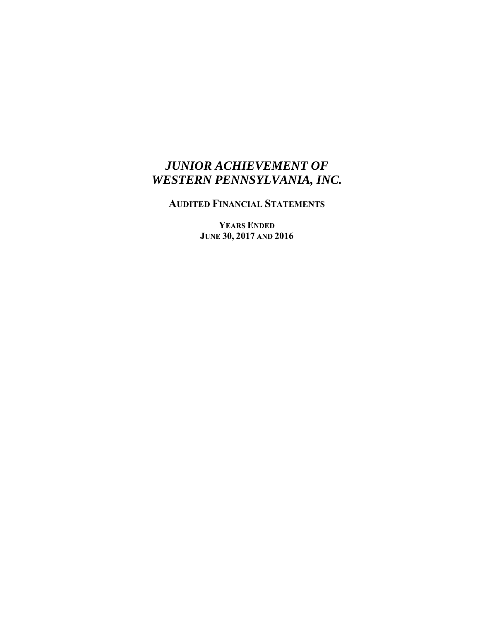## *JUNIOR ACHIEVEMENT OF WESTERN PENNSYLVANIA, INC.*

**AUDITED FINANCIAL STATEMENTS**

**YEARS ENDED JUNE 30, 2017 AND 2016**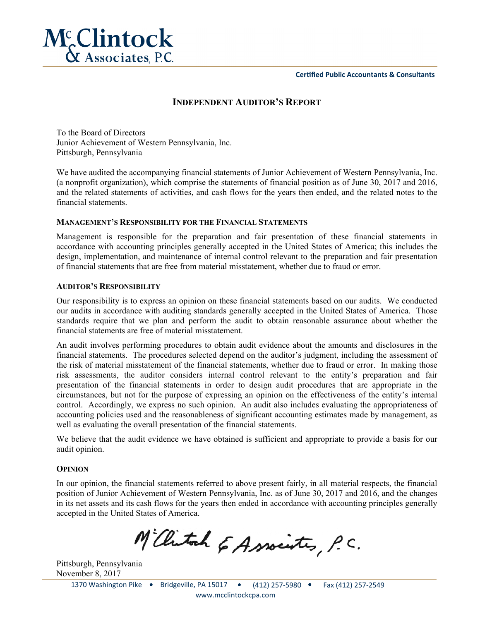

### **INDEPENDENT AUDITOR'S REPORT**

To the Board of Directors Junior Achievement of Western Pennsylvania, Inc. Pittsburgh, Pennsylvania

We have audited the accompanying financial statements of Junior Achievement of Western Pennsylvania, Inc. (a nonprofit organization), which comprise the statements of financial position as of June 30, 2017 and 2016, and the related statements of activities, and cash flows for the years then ended, and the related notes to the financial statements.

#### **MANAGEMENT'S RESPONSIBILITY FOR THE FINANCIAL STATEMENTS**

Management is responsible for the preparation and fair presentation of these financial statements in accordance with accounting principles generally accepted in the United States of America; this includes the design, implementation, and maintenance of internal control relevant to the preparation and fair presentation of financial statements that are free from material misstatement, whether due to fraud or error.

#### **AUDITOR'S RESPONSIBILITY**

Our responsibility is to express an opinion on these financial statements based on our audits. We conducted our audits in accordance with auditing standards generally accepted in the United States of America. Those standards require that we plan and perform the audit to obtain reasonable assurance about whether the financial statements are free of material misstatement.

An audit involves performing procedures to obtain audit evidence about the amounts and disclosures in the financial statements. The procedures selected depend on the auditor's judgment, including the assessment of the risk of material misstatement of the financial statements, whether due to fraud or error. In making those risk assessments, the auditor considers internal control relevant to the entity's preparation and fair presentation of the financial statements in order to design audit procedures that are appropriate in the circumstances, but not for the purpose of expressing an opinion on the effectiveness of the entity's internal control. Accordingly, we express no such opinion. An audit also includes evaluating the appropriateness of accounting policies used and the reasonableness of significant accounting estimates made by management, as well as evaluating the overall presentation of the financial statements.

We believe that the audit evidence we have obtained is sufficient and appropriate to provide a basis for our audit opinion.

#### **OPINION**

In our opinion, the financial statements referred to above present fairly, in all material respects, the financial position of Junior Achievement of Western Pennsylvania, Inc. as of June 30, 2017 and 2016, and the changes in its net assets and its cash flows for the years then ended in accordance with accounting principles generally accepted in the United States of America.

M'autoch & Associates, P.C.

Pittsburgh, Pennsylvania November 8, 2017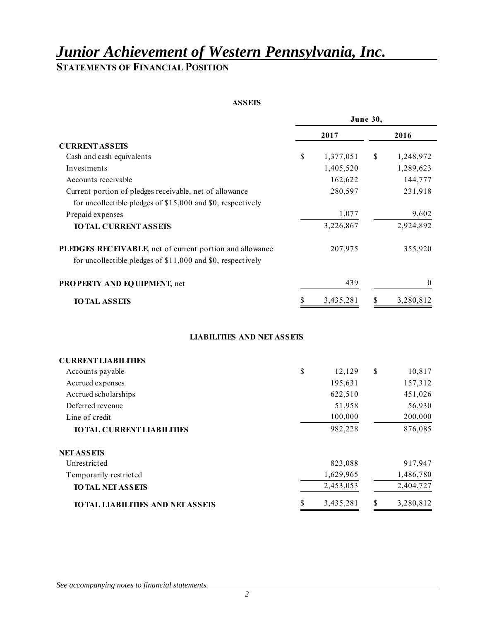## **STATEMENTS OF FINANCIAL POSITION**

#### **ASSETS**

|                                                                                                                         | June 30, |           |    |                |
|-------------------------------------------------------------------------------------------------------------------------|----------|-----------|----|----------------|
|                                                                                                                         |          | 2017      |    | 2016           |
| <b>CURRENT ASSETS</b>                                                                                                   |          |           |    |                |
| Cash and cash equivalents                                                                                               | \$       | 1,377,051 | \$ | 1,248,972      |
| Investments                                                                                                             |          | 1,405,520 |    | 1,289,623      |
| Accounts receivable                                                                                                     |          | 162,622   |    | 144,777        |
| Current portion of pledges receivable, net of allowance                                                                 |          | 280,597   |    | 231,918        |
| for uncollectible pledges of \$15,000 and \$0, respectively                                                             |          |           |    |                |
| Prepaid expenses                                                                                                        |          | 1,077     |    | 9,602          |
| <b>TO TAL CURRENT ASSETS</b>                                                                                            |          | 3,226,867 |    | 2,924,892      |
| PLEDGES RECEIVABLE, net of current portion and allowance<br>for uncollectible pledges of \$11,000 and \$0, respectively |          | 207,975   |    | 355,920        |
| PROPERTY AND EQUIPMENT, net                                                                                             |          | 439       |    | $\overline{0}$ |
| <b>TO TAL ASSETS</b>                                                                                                    | \$       | 3,435,281 | \$ | 3,280,812      |
| <b>LIABILITIES AND NET ASSETS</b>                                                                                       |          |           |    |                |
| <b>CURRENT LIABILITIES</b>                                                                                              |          |           |    |                |
| Accounts payable                                                                                                        | \$       | 12,129    | \$ | 10,817         |
| Accrued expenses                                                                                                        |          | 195,631   |    | 157,312        |
| Accrued scholarships                                                                                                    |          | 622,510   |    | 451,026        |
| Deferred revenue                                                                                                        |          | 51,958    |    | 56,930         |
| Line of credit                                                                                                          |          | 100,000   |    | 200,000        |
| TO TAL CURRENT LIABILITIES                                                                                              |          | 982,228   |    | 876,085        |
| <b>NET ASSETS</b>                                                                                                       |          |           |    |                |
| Unrestricted                                                                                                            |          | 823,088   |    | 917,947        |
| Temporarily restricted                                                                                                  |          | 1,629,965 |    | 1,486,780      |
| <b>TO TAL NET ASSETS</b>                                                                                                |          | 2,453,053 |    | 2,404,727      |
| <b>TO TAL LIABILITIES AND NET ASSETS</b>                                                                                | \$       | 3,435,281 | \$ | 3,280,812      |

*See accompanying notes to financial statements.*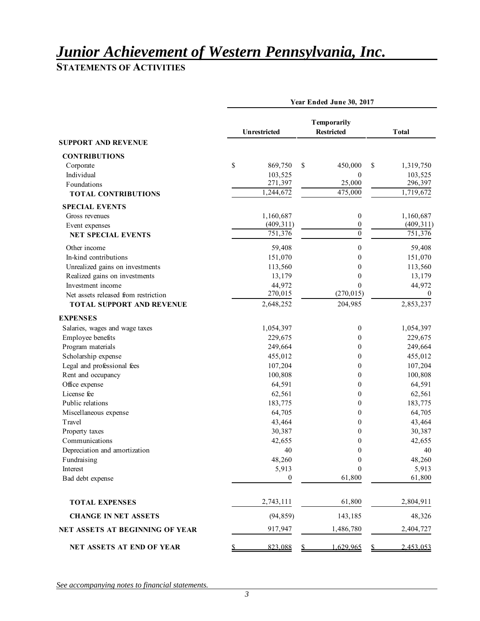## **STATEMENTS OF ACTIVITIES**

|                                      | Year Ended June 30, 2017 |                  |                                         |    |              |
|--------------------------------------|--------------------------|------------------|-----------------------------------------|----|--------------|
|                                      | <b>Unrestricted</b>      |                  | <b>Temporarily</b><br><b>Restricted</b> |    | <b>Total</b> |
| <b>SUPPORT AND REVENUE</b>           |                          |                  |                                         |    |              |
| <b>CONTRIBUTIONS</b>                 |                          |                  |                                         |    |              |
| Corporate                            | \$<br>869,750            | \$               | 450,000                                 | \$ | 1,319,750    |
| Individual                           | 103,525                  |                  | $\theta$                                |    | 103,525      |
| Foundations                          | 271,397                  |                  | 25,000                                  |    | 296,397      |
| <b>TOTAL CONTRIBUTIONS</b>           | 1,244,672                |                  | 475,000                                 |    | 1,719,672    |
| <b>SPECIAL EVENTS</b>                |                          |                  |                                         |    |              |
| Gross revenues                       | 1,160,687                |                  | $\boldsymbol{0}$                        |    | 1,160,687    |
| Event expenses                       | (409, 311)               |                  | $\boldsymbol{0}$                        |    | (409, 311)   |
| <b>NET SPECIAL EVENTS</b>            | 751,376                  |                  | $\boldsymbol{0}$                        |    | 751,376      |
| Other income                         | 59,408                   |                  | $\boldsymbol{0}$                        |    | 59,408       |
| In-kind contributions                | 151,070                  |                  | $\theta$                                |    | 151,070      |
| Unrealized gains on investments      | 113,560                  |                  | $\theta$                                |    | 113,560      |
| Realized gains on investments        | 13,179                   |                  | $\theta$                                |    | 13,179       |
| Investment income                    | 44,972                   |                  | $\theta$                                |    | 44,972       |
| Net assets released from restriction | 270,015                  |                  | (270, 015)                              |    | $\mathbf{0}$ |
| <b>TOTAL SUPPORT AND REVENUE</b>     | 2,648,252                |                  | 204,985                                 |    | 2,853,237    |
| <b>EXPENSES</b>                      |                          |                  |                                         |    |              |
| Salaries, wages and wage taxes       | 1,054,397                |                  | $\boldsymbol{0}$                        |    | 1,054,397    |
| Employee benefits                    | 229,675                  |                  | $\theta$                                |    | 229,675      |
| Program materials                    | 249,664                  |                  | $\theta$                                |    | 249,664      |
| Scholarship expense                  | 455,012                  |                  | $\overline{0}$                          |    | 455,012      |
| Legal and professional fees          | 107,204                  |                  | $\overline{0}$                          |    | 107,204      |
| Rent and occupancy                   | 100,808                  |                  | $\overline{0}$                          |    | 100,808      |
| Office expense                       | 64,591                   |                  | $\overline{0}$                          |    | 64,591       |
| License fee                          | 62,561                   |                  | $\overline{0}$                          |    | 62,561       |
| Public relations                     | 183,775                  |                  | $\overline{0}$                          |    | 183,775      |
| Miscellaneous expense                | 64,705                   |                  | $\overline{0}$                          |    | 64,705       |
| Travel                               | 43,464                   |                  | $\overline{0}$                          |    | 43,464       |
| Property taxes                       | 30,387                   |                  | $\theta$                                |    | 30,387       |
| Communications                       | 42,655                   |                  | $\boldsymbol{0}$                        |    | 42,655       |
| Depreciation and amortization        |                          | 40               | $\boldsymbol{0}$                        |    | 40           |
| Fundraising                          | 48,260                   |                  | $\boldsymbol{0}$                        |    | 48,260       |
| Interest                             | 5,913                    |                  | $\theta$                                |    | 5,913        |
| Bad debt expense                     |                          | $\boldsymbol{0}$ | 61,800                                  |    | 61,800       |
| <b>TOTAL EXPENSES</b>                | 2,743,111                |                  | 61,800                                  |    | 2,804,911    |
| <b>CHANGE IN NET ASSETS</b>          | (94, 859)                |                  | 143,185                                 |    | 48,326       |
| NET ASSETS AT BEGINNING OF YEAR      | 917,947                  |                  | 1,486,780                               |    | 2,404,727    |
| NET ASSETS AT END OF YEAR            | 823.088                  |                  | 1.629.965                               | S  | 2.453.053    |

*See accompanying notes to financial statements.*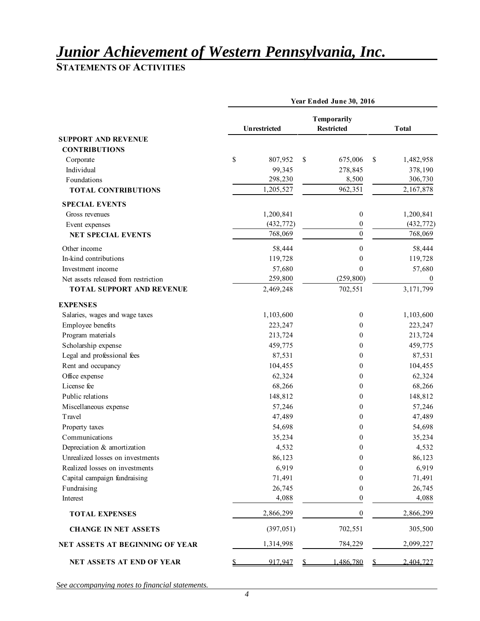## **STATEMENTS OF ACTIVITIES**

|                                      | Year Ended June 30, 2016 |              |    |                                  |    |              |
|--------------------------------------|--------------------------|--------------|----|----------------------------------|----|--------------|
|                                      |                          | Unrestricted |    | Temporarily<br><b>Restricted</b> |    | <b>Total</b> |
| <b>SUPPORT AND REVENUE</b>           |                          |              |    |                                  |    |              |
| <b>CONTRIBUTIONS</b>                 |                          |              |    |                                  |    |              |
| Corporate                            | \$                       | 807,952      | \$ | 675,006                          | \$ | 1,482,958    |
| Individual                           |                          | 99,345       |    | 278,845                          |    | 378,190      |
| Foundations                          |                          | 298,230      |    | 8,500                            |    | 306,730      |
| <b>TOTAL CONTRIBUTIONS</b>           |                          | 1,205,527    |    | 962,351                          |    | 2,167,878    |
| <b>SPECIAL EVENTS</b>                |                          |              |    |                                  |    |              |
| Gross revenues                       |                          | 1,200,841    |    | $\boldsymbol{0}$                 |    | 1,200,841    |
| Event expenses                       |                          | (432, 772)   |    | $\boldsymbol{0}$                 |    | (432, 772)   |
| <b>NET SPECIAL EVENTS</b>            |                          | 768,069      |    | $\overline{0}$                   |    | 768,069      |
| Other income                         |                          | 58,444       |    | $\mathbf{0}$                     |    | 58,444       |
| In-kind contributions                |                          | 119,728      |    | $\theta$                         |    | 119,728      |
| Investment income                    |                          | 57,680       |    | $\theta$                         |    | 57,680       |
| Net assets released from restriction |                          | 259,800      |    | (259, 800)                       |    | $\theta$     |
| TOTAL SUPPORT AND REVENUE            |                          | 2,469,248    |    | 702,551                          |    | 3,171,799    |
| <b>EXPENSES</b>                      |                          |              |    |                                  |    |              |
| Salaries, wages and wage taxes       |                          | 1,103,600    |    | $\boldsymbol{0}$                 |    | 1,103,600    |
| Employee benefits                    |                          | 223,247      |    | $\mathbf{0}$                     |    | 223,247      |
| Program materials                    |                          | 213,724      |    | $\boldsymbol{0}$                 |    | 213,724      |
| Scholarship expense                  |                          | 459,775      |    | $\boldsymbol{0}$                 |    | 459,775      |
| Legal and professional fees          |                          | 87,531       |    | $\bf{0}$                         |    | 87,531       |
| Rent and occupancy                   |                          | 104,455      |    | $\mathbf{0}$                     |    | 104,455      |
| Office expense                       |                          | 62,324       |    | $\mathbf{0}$                     |    | 62,324       |
| License fee                          |                          | 68,266       |    | $\boldsymbol{0}$                 |    | 68,266       |
| Public relations                     |                          | 148,812      |    | $\boldsymbol{0}$                 |    | 148,812      |
| Miscellaneous expense                |                          | 57,246       |    | $\boldsymbol{0}$                 |    | 57,246       |
| Travel                               |                          | 47,489       |    | $\mathbf{0}$                     |    | 47,489       |
| Property taxes                       |                          | 54,698       |    | $\mathbf{0}$                     |    | 54,698       |
| Communications                       |                          | 35,234       |    | $\boldsymbol{0}$                 |    | 35,234       |
| Depreciation & amortization          |                          | 4,532        |    | $\boldsymbol{0}$                 |    | 4,532        |
| Unrealized losses on investments     |                          | 86,123       |    | $\boldsymbol{0}$                 |    | 86,123       |
| Realized losses on investments       |                          | 6,919        |    | $\mathbf{0}$                     |    | 6,919        |
| Capital campaign fundraising         |                          | 71,491       |    | $\theta$                         |    | 71,491       |
| Fundraising                          |                          | 26,745       |    | 0                                |    | 26,745       |
| Interest                             |                          | 4,088        |    | $\boldsymbol{0}$                 |    | 4,088        |
| <b>TOTAL EXPENSES</b>                |                          | 2,866,299    |    | $\mathbf{0}$                     |    | 2,866,299    |
| <b>CHANGE IN NET ASSETS</b>          |                          | (397, 051)   |    | 702,551                          |    | 305,500      |
| NET ASSETS AT BEGINNING OF YEAR      |                          | 1,314,998    |    | 784,229                          |    | 2,099,227    |
| NET ASSETS AT END OF YEAR            |                          | 917,947      |    | 1,486,780                        |    | 2,404,727    |

*See accompanying notes to financial statements.*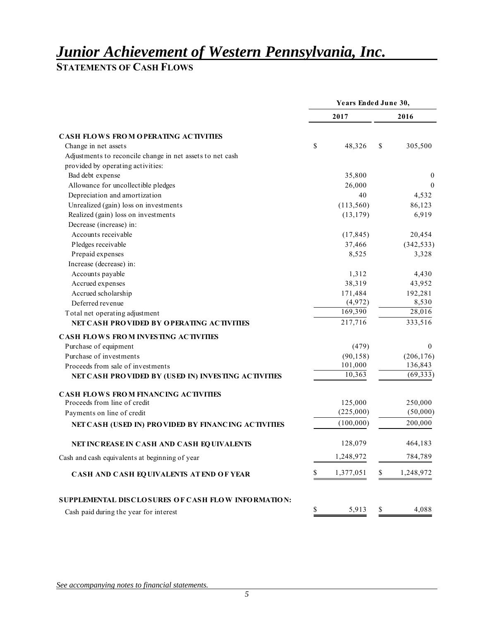**STATEMENTS OF CASH FLOWS**

|                                                           | Years Ended June 30, |            |    |                       |  |
|-----------------------------------------------------------|----------------------|------------|----|-----------------------|--|
| 2017                                                      |                      |            |    | 2016                  |  |
| <b>CASH FLOWS FROM OPERATING ACTIVITIES</b>               |                      |            |    |                       |  |
| Change in net assets                                      | \$                   | 48,326     | \$ | 305,500               |  |
| Adjustments to reconcile change in net assets to net cash |                      |            |    |                       |  |
| provided by operating activities:                         |                      |            |    |                       |  |
| Bad debt expense                                          |                      | 35,800     |    | $\boldsymbol{0}$      |  |
| Allowance for uncollectible pledges                       |                      | 26,000     |    | $\mathbf{0}$          |  |
| Depreciation and amortization                             |                      | 40         |    | 4,532                 |  |
| Unrealized (gain) loss on investments                     |                      | (113, 560) |    | 86,123                |  |
| Realized (gain) loss on investments                       |                      | (13, 179)  |    | 6,919                 |  |
| Decrease (increase) in:                                   |                      |            |    |                       |  |
| Accounts receivable                                       |                      | (17, 845)  |    | 20,454                |  |
| Pledges receivable                                        |                      | 37,466     |    | (342, 533)            |  |
| Prepaid expenses                                          |                      | 8,525      |    | 3,328                 |  |
| Increase (decrease) in:                                   |                      |            |    |                       |  |
| Accounts payable                                          |                      | 1,312      |    | 4,430                 |  |
| Accrued expenses                                          |                      | 38,319     |    | 43,952                |  |
| Accrued scholarship                                       |                      | 171,484    |    | 192,281               |  |
| Deferred revenue                                          |                      | (4,972)    |    | 8,530                 |  |
| Total net operating adjustment                            |                      | 169,390    |    | 28,016                |  |
| NET CASH PROVIDED BY OPERATING ACTIVITIES                 |                      | 217,716    |    | 333,516               |  |
| <b>CASH FLOWS FROM INVESTING ACTIVITIES</b>               |                      |            |    |                       |  |
| Purchase of equipment                                     |                      | (479)      |    | $\overline{0}$        |  |
| Purchase of investments                                   |                      | (90, 158)  |    | (206, 176)            |  |
| Proceeds from sale of investments                         |                      | 101,000    |    | 136,843               |  |
| NET CASH PROVIDED BY (USED IN) INVESTING ACTIVITIES       |                      | 10,363     |    | $\overline{(69,333)}$ |  |
| <b>CASH FLOWS FROM FINANCING ACTIVITIES</b>               |                      |            |    |                       |  |
| Proceeds from line of credit                              |                      | 125,000    |    | 250,000               |  |
| Payments on line of credit                                |                      | (225,000)  |    | (50,000)              |  |
| NET CASH (USED IN) PROVIDED BY FINANCING ACTIVITIES       |                      | (100,000)  |    | 200,000               |  |
| NET INCREASE IN CASH AND CASH EQUIVALENTS                 |                      | 128,079    |    | 464,183               |  |
| Cash and cash equivalents at beginning of year            |                      | 1,248,972  |    | 784,789               |  |
| CASH AND CASH EQUIVALENTS AT END OF YEAR                  | \$                   | 1,377,051  | \$ | 1,248,972             |  |
| <b>SUPPLEMENTAL DISCLOSURES OF CASH FLOW INFORMATION:</b> |                      |            |    |                       |  |
| Cash paid during the year for interest                    | \$                   | 5,913      | \$ | 4,088                 |  |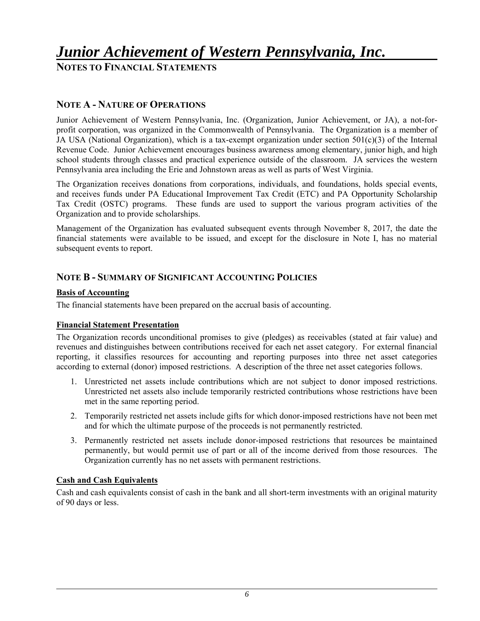**NOTES TO FINANCIAL STATEMENTS**

### **NOTE A - NATURE OF OPERATIONS**

Junior Achievement of Western Pennsylvania, Inc. (Organization, Junior Achievement, or JA), a not-forprofit corporation, was organized in the Commonwealth of Pennsylvania. The Organization is a member of JA USA (National Organization), which is a tax-exempt organization under section 501(c)(3) of the Internal Revenue Code. Junior Achievement encourages business awareness among elementary, junior high, and high school students through classes and practical experience outside of the classroom. JA services the western Pennsylvania area including the Erie and Johnstown areas as well as parts of West Virginia.

The Organization receives donations from corporations, individuals, and foundations, holds special events, and receives funds under PA Educational Improvement Tax Credit (ETC) and PA Opportunity Scholarship Tax Credit (OSTC) programs. These funds are used to support the various program activities of the Organization and to provide scholarships.

Management of the Organization has evaluated subsequent events through November 8, 2017, the date the financial statements were available to be issued, and except for the disclosure in Note I, has no material subsequent events to report.

### **NOTE B - SUMMARY OF SIGNIFICANT ACCOUNTING POLICIES**

#### **Basis of Accounting**

The financial statements have been prepared on the accrual basis of accounting.

#### **Financial Statement Presentation**

The Organization records unconditional promises to give (pledges) as receivables (stated at fair value) and revenues and distinguishes between contributions received for each net asset category. For external financial reporting, it classifies resources for accounting and reporting purposes into three net asset categories according to external (donor) imposed restrictions. A description of the three net asset categories follows.

- 1. Unrestricted net assets include contributions which are not subject to donor imposed restrictions. Unrestricted net assets also include temporarily restricted contributions whose restrictions have been met in the same reporting period.
- 2. Temporarily restricted net assets include gifts for which donor-imposed restrictions have not been met and for which the ultimate purpose of the proceeds is not permanently restricted.
- 3. Permanently restricted net assets include donor-imposed restrictions that resources be maintained permanently, but would permit use of part or all of the income derived from those resources. The Organization currently has no net assets with permanent restrictions.

#### **Cash and Cash Equivalents**

Cash and cash equivalents consist of cash in the bank and all short-term investments with an original maturity of 90 days or less.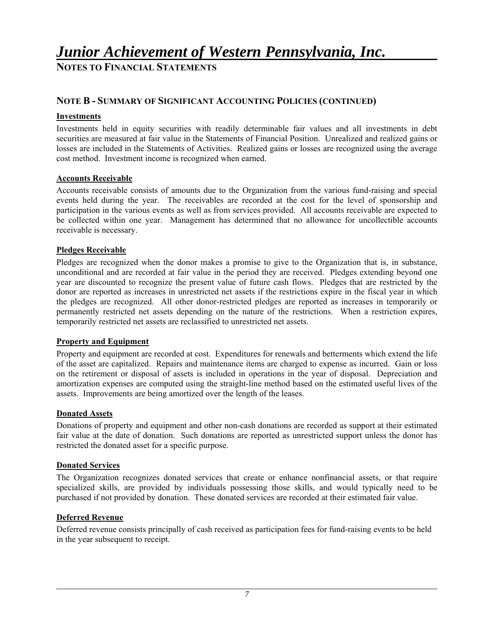**NOTES TO FINANCIAL STATEMENTS**

### **NOTE B - SUMMARY OF SIGNIFICANT ACCOUNTING POLICIES (CONTINUED)**

#### **Investments**

Investments held in equity securities with readily determinable fair values and all investments in debt securities are measured at fair value in the Statements of Financial Position. Unrealized and realized gains or losses are included in the Statements of Activities. Realized gains or losses are recognized using the average cost method. Investment income is recognized when earned.

#### **Accounts Receivable**

Accounts receivable consists of amounts due to the Organization from the various fund-raising and special events held during the year. The receivables are recorded at the cost for the level of sponsorship and participation in the various events as well as from services provided. All accounts receivable are expected to be collected within one year. Management has determined that no allowance for uncollectible accounts receivable is necessary.

#### **Pledges Receivable**

Pledges are recognized when the donor makes a promise to give to the Organization that is, in substance, unconditional and are recorded at fair value in the period they are received. Pledges extending beyond one year are discounted to recognize the present value of future cash flows. Pledges that are restricted by the donor are reported as increases in unrestricted net assets if the restrictions expire in the fiscal year in which the pledges are recognized. All other donor-restricted pledges are reported as increases in temporarily or permanently restricted net assets depending on the nature of the restrictions. When a restriction expires, temporarily restricted net assets are reclassified to unrestricted net assets.

#### **Property and Equipment**

Property and equipment are recorded at cost. Expenditures for renewals and betterments which extend the life of the asset are capitalized. Repairs and maintenance items are charged to expense as incurred. Gain or loss on the retirement or disposal of assets is included in operations in the year of disposal. Depreciation and amortization expenses are computed using the straight-line method based on the estimated useful lives of the assets. Improvements are being amortized over the length of the leases.

#### **Donated Assets**

Donations of property and equipment and other non-cash donations are recorded as support at their estimated fair value at the date of donation. Such donations are reported as unrestricted support unless the donor has restricted the donated asset for a specific purpose.

#### **Donated Services**

The Organization recognizes donated services that create or enhance nonfinancial assets, or that require specialized skills, are provided by individuals possessing those skills, and would typically need to be purchased if not provided by donation. These donated services are recorded at their estimated fair value.

#### **Deferred Revenue**

Deferred revenue consists principally of cash received as participation fees for fund-raising events to be held in the year subsequent to receipt.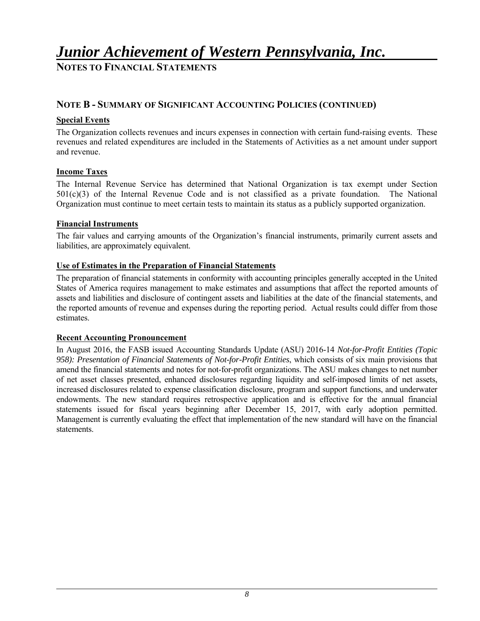**NOTES TO FINANCIAL STATEMENTS**

### **NOTE B - SUMMARY OF SIGNIFICANT ACCOUNTING POLICIES (CONTINUED)**

#### **Special Events**

The Organization collects revenues and incurs expenses in connection with certain fund-raising events. These revenues and related expenditures are included in the Statements of Activities as a net amount under support and revenue.

#### **Income Taxes**

The Internal Revenue Service has determined that National Organization is tax exempt under Section 501(c)(3) of the Internal Revenue Code and is not classified as a private foundation. The National Organization must continue to meet certain tests to maintain its status as a publicly supported organization.

#### **Financial Instruments**

The fair values and carrying amounts of the Organization's financial instruments, primarily current assets and liabilities, are approximately equivalent.

#### **Use of Estimates in the Preparation of Financial Statements**

The preparation of financial statements in conformity with accounting principles generally accepted in the United States of America requires management to make estimates and assumptions that affect the reported amounts of assets and liabilities and disclosure of contingent assets and liabilities at the date of the financial statements, and the reported amounts of revenue and expenses during the reporting period. Actual results could differ from those estimates.

#### **Recent Accounting Pronouncement**

In August 2016, the FASB issued Accounting Standards Update (ASU) 2016-14 *Not-for-Profit Entities (Topic 958): Presentation of Financial Statements of Not-for-Profit Entities*, which consists of six main provisions that amend the financial statements and notes for not-for-profit organizations. The ASU makes changes to net number of net asset classes presented, enhanced disclosures regarding liquidity and self-imposed limits of net assets, increased disclosures related to expense classification disclosure, program and support functions, and underwater endowments. The new standard requires retrospective application and is effective for the annual financial statements issued for fiscal years beginning after December 15, 2017, with early adoption permitted. Management is currently evaluating the effect that implementation of the new standard will have on the financial statements.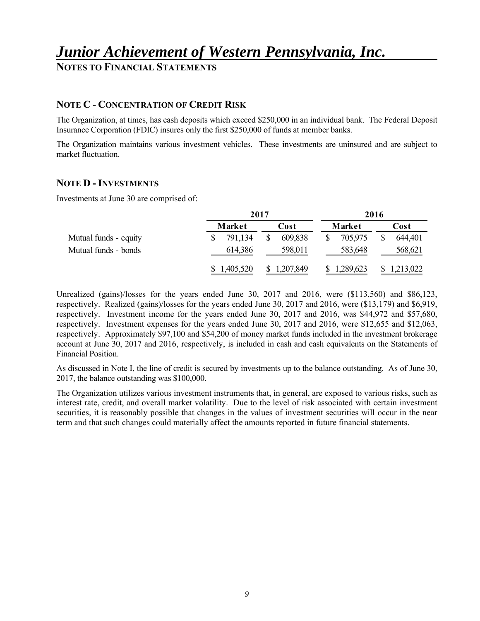**NOTES TO FINANCIAL STATEMENTS**

## **NOTE C - CONCENTRATION OF CREDIT RISK**

The Organization, at times, has cash deposits which exceed \$250,000 in an individual bank. The Federal Deposit Insurance Corporation (FDIC) insures only the first \$250,000 of funds at member banks.

The Organization maintains various investment vehicles. These investments are uninsured and are subject to market fluctuation.

### **NOTE D - INVESTMENTS**

Investments at June 30 are comprised of:

|                       | 2017      |  | 2016      |  |           |  |           |
|-----------------------|-----------|--|-----------|--|-----------|--|-----------|
|                       | Market    |  | Cost      |  | Market    |  | Cost      |
| Mutual funds - equity | 791,134   |  | 609,838   |  | 705,975   |  | 644,401   |
| Mutual funds - bonds  | 614,386   |  | 598,011   |  | 583,648   |  | 568,621   |
|                       | 1,405,520 |  | 1,207,849 |  | 1,289,623 |  | 1,213,022 |

Unrealized (gains)/losses for the years ended June 30, 2017 and 2016, were (\$113,560) and \$86,123, respectively. Realized (gains)/losses for the years ended June 30, 2017 and 2016, were (\$13,179) and \$6,919, respectively. Investment income for the years ended June 30, 2017 and 2016, was \$44,972 and \$57,680, respectively. Investment expenses for the years ended June 30, 2017 and 2016, were \$12,655 and \$12,063, respectively. Approximately \$97,100 and \$54,200 of money market funds included in the investment brokerage account at June 30, 2017 and 2016, respectively, is included in cash and cash equivalents on the Statements of Financial Position.

As discussed in Note I, the line of credit is secured by investments up to the balance outstanding. As of June 30, 2017, the balance outstanding was \$100,000.

The Organization utilizes various investment instruments that, in general, are exposed to various risks, such as interest rate, credit, and overall market volatility. Due to the level of risk associated with certain investment securities, it is reasonably possible that changes in the values of investment securities will occur in the near term and that such changes could materially affect the amounts reported in future financial statements.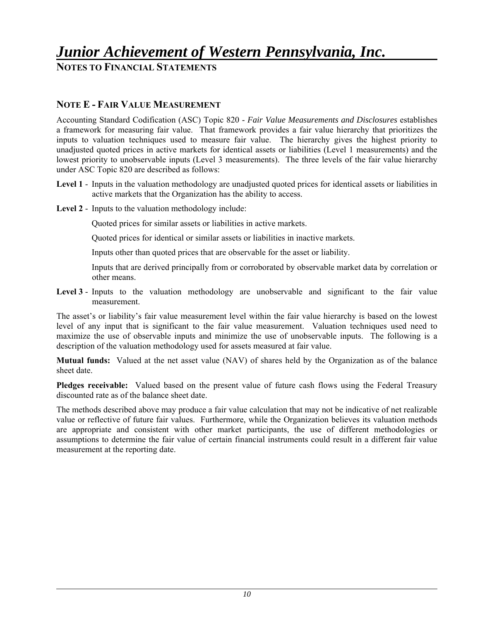**NOTES TO FINANCIAL STATEMENTS**

## **NOTE E - FAIR VALUE MEASUREMENT**

Accounting Standard Codification (ASC) Topic 820 - *Fair Value Measurements and Disclosures* establishes a framework for measuring fair value. That framework provides a fair value hierarchy that prioritizes the inputs to valuation techniques used to measure fair value. The hierarchy gives the highest priority to unadjusted quoted prices in active markets for identical assets or liabilities (Level 1 measurements) and the lowest priority to unobservable inputs (Level 3 measurements). The three levels of the fair value hierarchy under ASC Topic 820 are described as follows:

- Level 1 Inputs in the valuation methodology are unadjusted quoted prices for identical assets or liabilities in active markets that the Organization has the ability to access.
- **Level 2**  Inputs to the valuation methodology include:

Quoted prices for similar assets or liabilities in active markets.

Quoted prices for identical or similar assets or liabilities in inactive markets.

Inputs other than quoted prices that are observable for the asset or liability.

 Inputs that are derived principally from or corroborated by observable market data by correlation or other means.

Level 3 - Inputs to the valuation methodology are unobservable and significant to the fair value measurement.

The asset's or liability's fair value measurement level within the fair value hierarchy is based on the lowest level of any input that is significant to the fair value measurement. Valuation techniques used need to maximize the use of observable inputs and minimize the use of unobservable inputs. The following is a description of the valuation methodology used for assets measured at fair value.

**Mutual funds:** Valued at the net asset value (NAV) of shares held by the Organization as of the balance sheet date.

**Pledges receivable:** Valued based on the present value of future cash flows using the Federal Treasury discounted rate as of the balance sheet date.

The methods described above may produce a fair value calculation that may not be indicative of net realizable value or reflective of future fair values. Furthermore, while the Organization believes its valuation methods are appropriate and consistent with other market participants, the use of different methodologies or assumptions to determine the fair value of certain financial instruments could result in a different fair value measurement at the reporting date.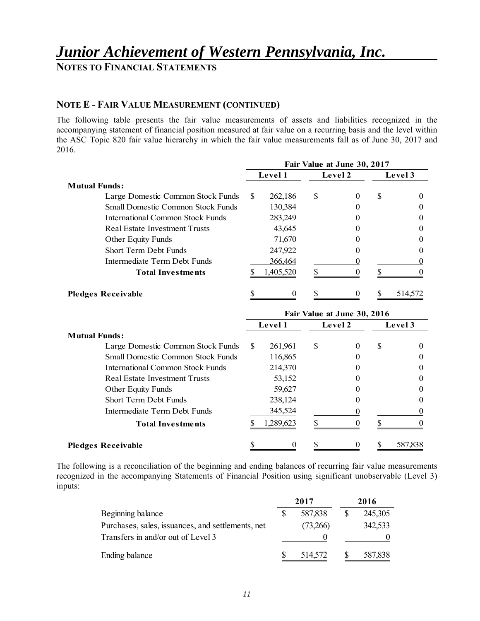## **NOTES TO FINANCIAL STATEMENTS**

#### **NOTE E - FAIR VALUE MEASUREMENT (CONTINUED)**

The following table presents the fair value measurements of assets and liabilities recognized in the accompanying statement of financial position measured at fair value on a recurring basis and the level within the ASC Topic 820 fair value hierarchy in which the fair value measurements fall as of June 30, 2017 and 2016.

|                                          | Fair Value at June 30, 2017 |           |         |          |    |          |
|------------------------------------------|-----------------------------|-----------|---------|----------|----|----------|
|                                          |                             | Level 1   | Level 2 |          |    | Level 3  |
| <b>Mutual Funds:</b>                     |                             |           |         |          |    |          |
| Large Domestic Common Stock Funds        | -S                          | 262,186   | \$.     | $\theta$ | -S | $\Omega$ |
| <b>Small Domestic Common Stock Funds</b> |                             | 130,384   |         | $\Omega$ |    | $\theta$ |
| International Common Stock Funds         |                             | 283,249   |         | 0        |    |          |
| Real Estate Investment Trusts            |                             | 43,645    |         | 0        |    |          |
| Other Equity Funds                       |                             | 71,670    |         |          |    |          |
| <b>Short Term Debt Funds</b>             |                             | 247,922   |         | 0        |    | $\theta$ |
| Intermediate Term Debt Funds             |                             | 366,464   |         |          |    |          |
| <b>Total Investments</b>                 |                             | 1,405,520 |         |          |    |          |
| <b>Pledges Receivable</b>                |                             | 0         |         | 0        | S  | 514,572  |

|                                          | Fair Value at June 30, 2016 |           |   |         |   |          |
|------------------------------------------|-----------------------------|-----------|---|---------|---|----------|
|                                          |                             | Level 1   |   | Level 2 |   | Level 3  |
| <b>Mutual Funds:</b>                     |                             |           |   |         |   |          |
| Large Domestic Common Stock Funds        | -S                          | 261,961   | S | 0       | S | $\theta$ |
| <b>Small Domestic Common Stock Funds</b> |                             | 116,865   |   |         |   |          |
| International Common Stock Funds         |                             | 214,370   |   |         |   |          |
| Real Estate Investment Trusts            |                             | 53,152    |   |         |   |          |
| Other Equity Funds                       |                             | 59,627    |   |         |   |          |
| <b>Short Term Debt Funds</b>             |                             | 238,124   |   |         |   |          |
| Intermediate Term Debt Funds             |                             | 345,524   |   |         |   |          |
| <b>Total Investments</b>                 |                             | 1,289,623 |   |         |   |          |
| <b>Pledges Receivable</b>                |                             |           |   |         |   | 587,838  |

The following is a reconciliation of the beginning and ending balances of recurring fair value measurements recognized in the accompanying Statements of Financial Position using significant unobservable (Level 3) inputs:

|                                                   | 2017     | 2016    |
|---------------------------------------------------|----------|---------|
| Beginning balance                                 | 587,838  | 245,305 |
| Purchases, sales, issuances, and settlements, net | (73,266) | 342,533 |
| Transfers in and/or out of Level 3                |          |         |
| Ending balance                                    | 514,572  | 587,838 |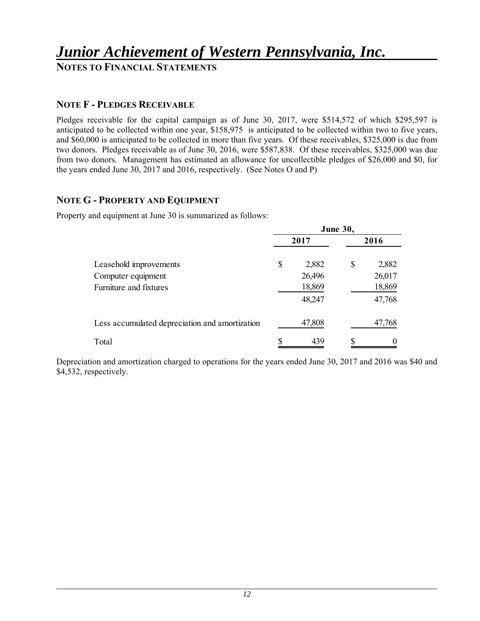**NOTES TO FINANCIAL STATEMENTS**

### **NOTE F - PLEDGES RECEIVABLE**

Pledges receivable for the capital campaign as of June 30, 2017, were \$514,572 of which \$295,597 is anticipated to be collected within one year, \$158,975 is anticipated to be collected within two to five years, and \$60,000 is anticipated to be collected in more than five years. Of these receivables, \$325,000 is due from two donors. Pledges receivable as of June 30, 2016, were \$587,838. Of these receivables, \$325,000 was due from two donors. Management has estimated an allowance for uncollectible pledges of \$26,000 and \$0, for the years ended June 30, 2017 and 2016, respectively. (See Notes O and P)

### **NOTE G - PROPERTY AND EQUIPMENT**

Property and equipment at June 30 is summarized as follows:

|                                                | <b>June 30,</b> |        |    |        |
|------------------------------------------------|-----------------|--------|----|--------|
|                                                | 2017            |        |    | 2016   |
| Leasehold improvements                         | S               | 2,882  | \$ | 2,882  |
| Computer equipment                             |                 | 26,496 |    | 26,017 |
| Furniture and fixtures                         |                 | 18,869 |    | 18,869 |
|                                                |                 | 48,247 |    | 47,768 |
| Less accumulated depreciation and amortization |                 | 47,808 |    | 47,768 |
| Total                                          |                 | 439    |    |        |

Depreciation and amortization charged to operations for the years ended June 30, 2017 and 2016 was \$40 and \$4,532, respectively.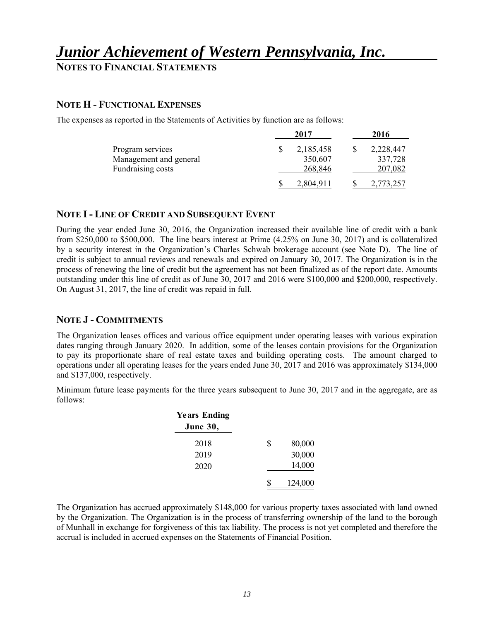**NOTES TO FINANCIAL STATEMENTS**

#### **NOTE H - FUNCTIONAL EXPENSES**

The expenses as reported in the Statements of Activities by function are as follows:

|                        | 2017      | 2016          |
|------------------------|-----------|---------------|
| Program services       | 2,185,458 | 2,228,447     |
| Management and general | 350,607   | 337,728       |
| Fundraising costs      | 268,846   | 207,082       |
|                        | 2.804.91  | <u>13,257</u> |

#### **NOTE I - LINE OF CREDIT AND SUBSEQUENT EVENT**

During the year ended June 30, 2016, the Organization increased their available line of credit with a bank from \$250,000 to \$500,000. The line bears interest at Prime (4.25% on June 30, 2017) and is collateralized by a security interest in the Organization's Charles Schwab brokerage account (see Note D). The line of credit is subject to annual reviews and renewals and expired on January 30, 2017. The Organization is in the process of renewing the line of credit but the agreement has not been finalized as of the report date. Amounts outstanding under this line of credit as of June 30, 2017 and 2016 were \$100,000 and \$200,000, respectively. On August 31, 2017, the line of credit was repaid in full.

### **NOTE J - COMMITMENTS**

The Organization leases offices and various office equipment under operating leases with various expiration dates ranging through January 2020. In addition, some of the leases contain provisions for the Organization to pay its proportionate share of real estate taxes and building operating costs. The amount charged to operations under all operating leases for the years ended June 30, 2017 and 2016 was approximately \$134,000 and \$137,000, respectively.

Minimum future lease payments for the three years subsequent to June 30, 2017 and in the aggregate, are as follows:

| \$ | 80,000  |
|----|---------|
|    | 30,000  |
|    | 14,000  |
| S  | 124,000 |
|    |         |

The Organization has accrued approximately \$148,000 for various property taxes associated with land owned by the Organization. The Organization is in the process of transferring ownership of the land to the borough of Munhall in exchange for forgiveness of this tax liability. The process is not yet completed and therefore the accrual is included in accrued expenses on the Statements of Financial Position.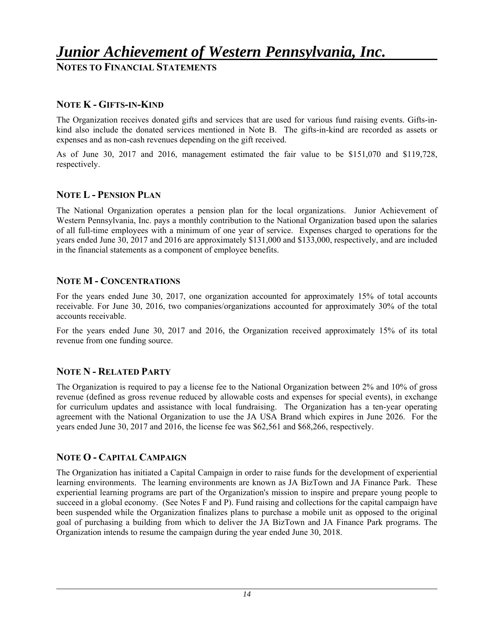**NOTES TO FINANCIAL STATEMENTS**

## **NOTE K - GIFTS-IN-KIND**

The Organization receives donated gifts and services that are used for various fund raising events. Gifts-inkind also include the donated services mentioned in Note B. The gifts-in-kind are recorded as assets or expenses and as non-cash revenues depending on the gift received.

As of June 30, 2017 and 2016, management estimated the fair value to be \$151,070 and \$119,728, respectively.

### **NOTE L - PENSION PLAN**

The National Organization operates a pension plan for the local organizations. Junior Achievement of Western Pennsylvania, Inc. pays a monthly contribution to the National Organization based upon the salaries of all full-time employees with a minimum of one year of service. Expenses charged to operations for the years ended June 30, 2017 and 2016 are approximately \$131,000 and \$133,000, respectively, and are included in the financial statements as a component of employee benefits.

## **NOTE M - CONCENTRATIONS**

For the years ended June 30, 2017, one organization accounted for approximately 15% of total accounts receivable. For June 30, 2016, two companies/organizations accounted for approximately 30% of the total accounts receivable.

For the years ended June 30, 2017 and 2016, the Organization received approximately 15% of its total revenue from one funding source.

## **NOTE N - RELATED PARTY**

The Organization is required to pay a license fee to the National Organization between 2% and 10% of gross revenue (defined as gross revenue reduced by allowable costs and expenses for special events), in exchange for curriculum updates and assistance with local fundraising. The Organization has a ten-year operating agreement with the National Organization to use the JA USA Brand which expires in June 2026. For the years ended June 30, 2017 and 2016, the license fee was \$62,561 and \$68,266, respectively.

### **NOTE O - CAPITAL CAMPAIGN**

The Organization has initiated a Capital Campaign in order to raise funds for the development of experiential learning environments. The learning environments are known as JA BizTown and JA Finance Park. These experiential learning programs are part of the Organization's mission to inspire and prepare young people to succeed in a global economy. (See Notes F and P). Fund raising and collections for the capital campaign have been suspended while the Organization finalizes plans to purchase a mobile unit as opposed to the original goal of purchasing a building from which to deliver the JA BizTown and JA Finance Park programs. The Organization intends to resume the campaign during the year ended June 30, 2018.